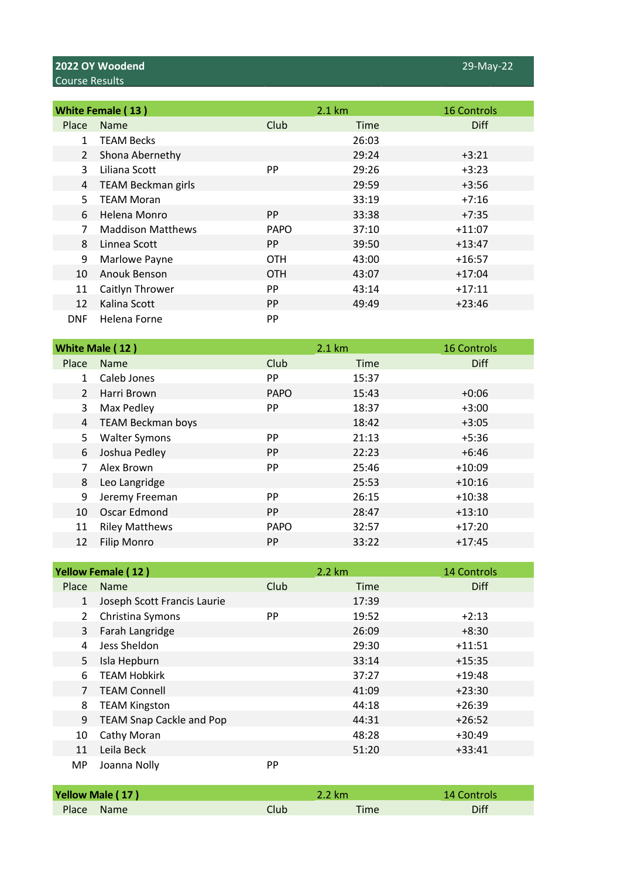|            | <b>White Female (13)</b>  |             | 2.1 km | <b>16 Controls</b> |
|------------|---------------------------|-------------|--------|--------------------|
| Place      | <b>Name</b>               | Club        | Time   | <b>Diff</b>        |
| 1          | <b>TEAM Becks</b>         |             | 26:03  |                    |
| 2          | Shona Abernethy           |             | 29:24  | $+3:21$            |
| 3          | Liliana Scott             | <b>PP</b>   | 29:26  | $+3:23$            |
| 4          | <b>TEAM Beckman girls</b> |             | 29:59  | $+3:56$            |
| 5.         | <b>TEAM Moran</b>         |             | 33:19  | $+7:16$            |
| 6          | Helena Monro              | PP.         | 33:38  | $+7:35$            |
| 7          | <b>Maddison Matthews</b>  | <b>PAPO</b> | 37:10  | $+11:07$           |
| 8          | Linnea Scott              | <b>PP</b>   | 39:50  | $+13:47$           |
| 9          | Marlowe Payne             | <b>OTH</b>  | 43:00  | $+16:57$           |
| 10         | Anouk Benson              | <b>OTH</b>  | 43:07  | $+17:04$           |
| 11         | Caitlyn Thrower           | <b>PP</b>   | 43:14  | $+17:11$           |
| 12         | Kalina Scott              | <b>PP</b>   | 49:49  | $+23:46$           |
| <b>DNF</b> | Helena Forne              | <b>PP</b>   |        |                    |

|                | White Male (12)          |             | 2.1 km      | <b>16 Controls</b> |
|----------------|--------------------------|-------------|-------------|--------------------|
| Place          | <b>Name</b>              | Club        | <b>Time</b> | <b>Diff</b>        |
| $\mathbf{1}$   | Caleb Jones              | PP          | 15:37       |                    |
| $\overline{2}$ | Harri Brown              | <b>PAPO</b> | 15:43       | $+0:06$            |
| 3              | Max Pedley               | PP          | 18:37       | $+3:00$            |
| 4              | <b>TEAM Beckman boys</b> |             | 18:42       | $+3:05$            |
| 5.             | <b>Walter Symons</b>     | <b>PP</b>   | 21:13       | $+5:36$            |
| 6              | Joshua Pedley            | <b>PP</b>   | 22:23       | $+6:46$            |
|                | Alex Brown               | PP          | 25:46       | $+10:09$           |
| 8              | Leo Langridge            |             | 25:53       | $+10:16$           |
| 9              | Jeremy Freeman           | <b>PP</b>   | 26:15       | $+10:38$           |
| 10             | Oscar Edmond             | <b>PP</b>   | 28:47       | $+13:10$           |
| 11             | <b>Riley Matthews</b>    | <b>PAPO</b> | 32:57       | $+17:20$           |
| 12             | <b>Filip Monro</b>       | <b>PP</b>   | 33:22       | $+17:45$           |

|                       | <b>Yellow Female (12)</b>       |           | 2.2 km | <b>14 Controls</b> |
|-----------------------|---------------------------------|-----------|--------|--------------------|
| Place                 | <b>Name</b>                     | Club      | Time   | <b>Diff</b>        |
| $\mathbf{1}$          | Joseph Scott Francis Laurie     |           | 17:39  |                    |
| $\mathbf{2}^{\prime}$ | Christina Symons                | <b>PP</b> | 19:52  | $+2:13$            |
| 3                     | Farah Langridge                 |           | 26:09  | $+8:30$            |
| 4                     | Jess Sheldon                    |           | 29:30  | $+11:51$           |
| 5                     | Isla Hepburn                    |           | 33:14  | $+15:35$           |
| 6.                    | <b>TEAM Hobkirk</b>             |           | 37:27  | $+19:48$           |
| 7                     | <b>TEAM Connell</b>             |           | 41:09  | $+23:30$           |
| 8                     | <b>TEAM Kingston</b>            |           | 44:18  | $+26:39$           |
| 9                     | <b>TEAM Snap Cackle and Pop</b> |           | 44:31  | $+26:52$           |
| 10                    | Cathy Moran                     |           | 48:28  | $+30:49$           |
| 11                    | Leila Beck                      |           | 51:20  | $+33:41$           |
| <b>MP</b>             | Joanna Nolly                    | PP        |        |                    |

| Yellow Male (17) |       | 2.2 km      | 14 Controls |
|------------------|-------|-------------|-------------|
| Place Name       | Clubl | <b>Time</b> | Diff        |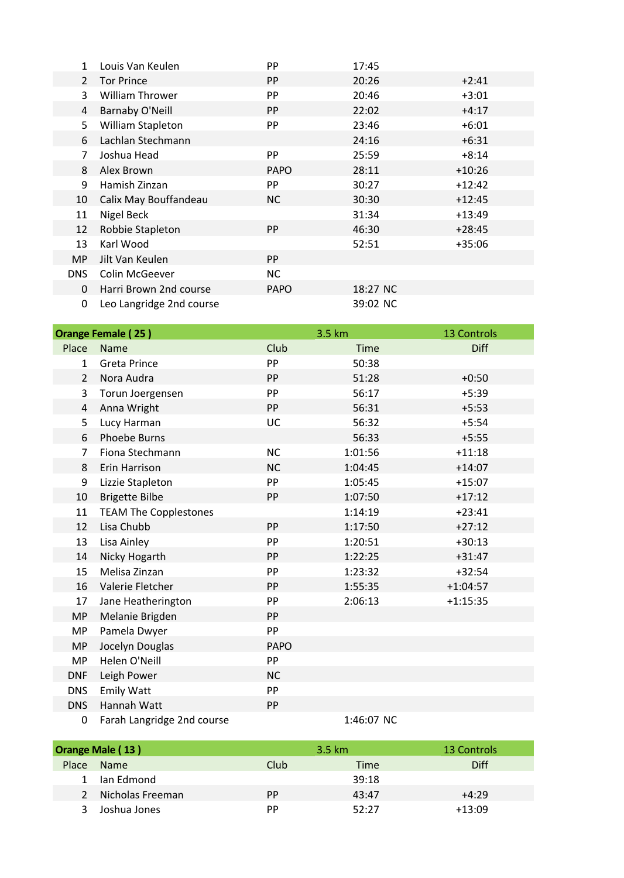|                | Louis Van Keulen         | PP          | 17:45    |          |
|----------------|--------------------------|-------------|----------|----------|
| $\overline{2}$ | <b>Tor Prince</b>        | PP          | 20:26    | $+2:41$  |
| 3              | <b>William Thrower</b>   | PP          | 20:46    | $+3:01$  |
| 4              | <b>Barnaby O'Neill</b>   | <b>PP</b>   | 22:02    | $+4:17$  |
| 5.             | William Stapleton        | PP          | 23:46    | +6:01    |
| 6              | Lachlan Stechmann        |             | 24:16    | $+6:31$  |
| 7              | Joshua Head              | PP          | 25:59    | +8:14    |
| 8              | Alex Brown               | <b>PAPO</b> | 28:11    | $+10:26$ |
| 9              | Hamish Zinzan            | PP          | 30:27    | $+12:42$ |
| 10             | Calix May Bouffandeau    | NC.         | 30:30    | $+12:45$ |
| 11             | Nigel Beck               |             | 31:34    | $+13:49$ |
| 12             | Robbie Stapleton         | PP          | 46:30    | $+28:45$ |
| 13             | Karl Wood                |             | 52:51    | $+35:06$ |
| <b>MP</b>      | Jilt Van Keulen          | <b>PP</b>   |          |          |
| DNS.           | Colin McGeever           | <b>NC</b>   |          |          |
| $\Omega$       | Harri Brown 2nd course   | <b>PAPO</b> | 18:27 NC |          |
| 0              | Leo Langridge 2nd course |             | 39:02 NC |          |

|                | <b>Orange Female (25)</b>    |             | 3.5 km      | <b>13 Controls</b> |
|----------------|------------------------------|-------------|-------------|--------------------|
| Place          | <b>Name</b>                  | Club        | <b>Time</b> | <b>Diff</b>        |
| $\mathbf{1}$   | <b>Greta Prince</b>          | PP          | 50:38       |                    |
| $\overline{2}$ | Nora Audra                   | PP          | 51:28       | $+0:50$            |
| 3              | Torun Joergensen             | PP          | 56:17       | $+5:39$            |
| 4              | Anna Wright                  | <b>PP</b>   | 56:31       | $+5:53$            |
| 5              | Lucy Harman                  | UC          | 56:32       | $+5:54$            |
| 6              | <b>Phoebe Burns</b>          |             | 56:33       | $+5:55$            |
| $\overline{7}$ | Fiona Stechmann              | <b>NC</b>   | 1:01:56     | $+11:18$           |
| 8              | Erin Harrison                | <b>NC</b>   | 1:04:45     | $+14:07$           |
| 9              | Lizzie Stapleton             | PP          | 1:05:45     | $+15:07$           |
| 10             | <b>Brigette Bilbe</b>        | PP          | 1:07:50     | $+17:12$           |
| 11             | <b>TEAM The Copplestones</b> |             | 1:14:19     | $+23:41$           |
| 12             | Lisa Chubb                   | PP          | 1:17:50     | $+27:12$           |
| 13             | Lisa Ainley                  | PP          | 1:20:51     | $+30:13$           |
| 14             | Nicky Hogarth                | PP          | 1:22:25     | $+31:47$           |
| 15             | Melisa Zinzan                | PP          | 1:23:32     | $+32:54$           |
| 16             | Valerie Fletcher             | PP          | 1:55:35     | $+1:04:57$         |
| 17             | Jane Heatherington           | PP          | 2:06:13     | $+1:15:35$         |
| <b>MP</b>      | Melanie Brigden              | PP          |             |                    |
| <b>MP</b>      | Pamela Dwyer                 | PP          |             |                    |
| <b>MP</b>      | Jocelyn Douglas              | <b>PAPO</b> |             |                    |
| <b>MP</b>      | Helen O'Neill                | PP          |             |                    |
| <b>DNF</b>     | Leigh Power                  | <b>NC</b>   |             |                    |
| <b>DNS</b>     | <b>Emily Watt</b>            | PP          |             |                    |
| <b>DNS</b>     | Hannah Watt                  | PP          |             |                    |
| 0              | Farah Langridge 2nd course   |             | 1:46:07 NC  |                    |

3.5 km Place Name Diff Club Club Time Diff Ian Edmond 39:18 2 Nicholas Freeman PP 43:47 +4:29 Joshua Jones PP 52:27 +13:09 **Orange Male (13)** 13 Controls 2.5 km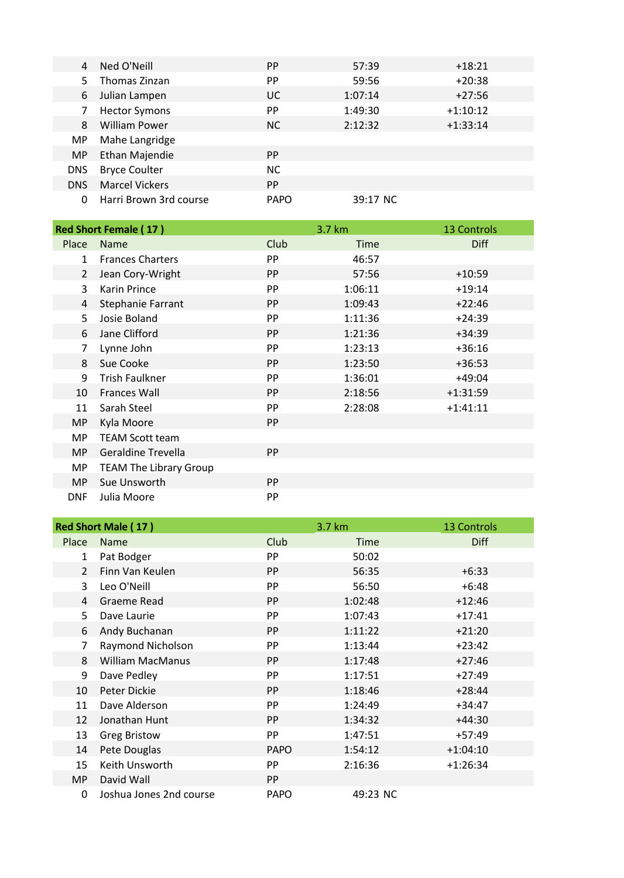| 4          | Ned O'Neill            | <b>PP</b>   | 57:39    | $+18:21$   |
|------------|------------------------|-------------|----------|------------|
| 5.         | Thomas Zinzan          | <b>PP</b>   | 59:56    | $+20:38$   |
| 6          | Julian Lampen          | UC.         | 1:07:14  | $+27:56$   |
| 7          | <b>Hector Symons</b>   | <b>PP</b>   | 1:49:30  | $+1:10:12$ |
| 8          | <b>William Power</b>   | <b>NC</b>   | 2:12:32  | $+1:33:14$ |
| MP.        | Mahe Langridge         |             |          |            |
| <b>MP</b>  | Ethan Majendie         | PP.         |          |            |
| <b>DNS</b> | <b>Bryce Coulter</b>   | NC.         |          |            |
| <b>DNS</b> | <b>Marcel Vickers</b>  | <b>PP</b>   |          |            |
| 0          | Harri Brown 3rd course | <b>PAPO</b> | 39:17 NC |            |

|                | <b>Red Short Female (17)</b>  |           | 3.7 km      | <b>13 Controls</b> |
|----------------|-------------------------------|-----------|-------------|--------------------|
| Place          | <b>Name</b>                   | Club      | <b>Time</b> | <b>Diff</b>        |
| $\mathbf{1}$   | <b>Frances Charters</b>       | PP        | 46:57       |                    |
| $\overline{2}$ | Jean Cory-Wright              | PP        | 57:56       | $+10:59$           |
| 3              | Karin Prince                  | PP        | 1:06:11     | $+19:14$           |
| 4              | Stephanie Farrant             | PP        | 1:09:43     | $+22:46$           |
| 5              | Josie Boland                  | PP        | 1:11:36     | $+24:39$           |
| 6              | Jane Clifford                 | PP        | 1:21:36     | $+34:39$           |
| 7              | Lynne John                    | PP        | 1:23:13     | $+36:16$           |
| 8              | Sue Cooke                     | <b>PP</b> | 1:23:50     | $+36:53$           |
| 9              | <b>Trish Faulkner</b>         | PP        | 1:36:01     | $+49:04$           |
| 10             | <b>Frances Wall</b>           | <b>PP</b> | 2:18:56     | $+1:31:59$         |
| 11             | Sarah Steel                   | PP        | 2:28:08     | $+1:41:11$         |
| <b>MP</b>      | Kyla Moore                    | <b>PP</b> |             |                    |
| MP             | <b>TEAM Scott team</b>        |           |             |                    |
| <b>MP</b>      | <b>Geraldine Trevella</b>     | <b>PP</b> |             |                    |
| MP             | <b>TEAM The Library Group</b> |           |             |                    |
| <b>MP</b>      | Sue Unsworth                  | <b>PP</b> |             |                    |
| <b>DNF</b>     | Julia Moore                   | PP        |             |                    |

|                | <b>Red Short Male (17)</b> |             | 3.7 km      | <b>13 Controls</b> |
|----------------|----------------------------|-------------|-------------|--------------------|
| Place          | Name                       | Club        | <b>Time</b> | <b>Diff</b>        |
| 1              | Pat Bodger                 | PP          | 50:02       |                    |
| $\overline{2}$ | Finn Van Keulen            | PP          | 56:35       | $+6:33$            |
| 3              | Leo O'Neill                | PP          | 56:50       | $+6:48$            |
| 4              | Graeme Read                | PP          | 1:02:48     | $+12:46$           |
| 5              | Dave Laurie                | PP          | 1:07:43     | $+17:41$           |
| 6              | Andy Buchanan              | PP          | 1:11:22     | $+21:20$           |
| 7              | Raymond Nicholson          | PP          | 1:13:44     | $+23:42$           |
| 8              | <b>William MacManus</b>    | <b>PP</b>   | 1:17:48     | $+27:46$           |
| 9              | Dave Pedley                | PP          | 1:17:51     | $+27:49$           |
| 10             | Peter Dickie               | PP          | 1:18:46     | $+28:44$           |
| 11             | Dave Alderson              | PP          | 1:24:49     | $+34:47$           |
| 12             | Jonathan Hunt              | PP          | 1:34:32     | $+44:30$           |
| 13             | <b>Greg Bristow</b>        | PP          | 1:47:51     | $+57:49$           |
| 14             | Pete Douglas               | <b>PAPO</b> | 1:54:12     | $+1:04:10$         |
| 15             | Keith Unsworth             | PP          | 2:16:36     | $+1:26:34$         |
| <b>MP</b>      | David Wall                 | <b>PP</b>   |             |                    |
| 0              | Joshua Jones 2nd course    | <b>PAPO</b> | 49:23 NC    |                    |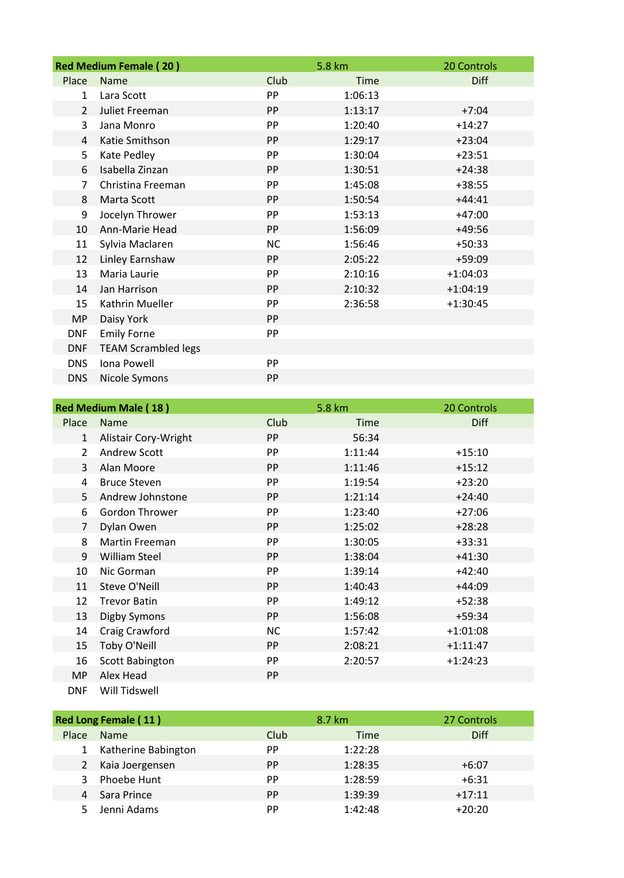|                | <b>Red Medium Female (20)</b> |           | 5.8 km  | 20 Controls |
|----------------|-------------------------------|-----------|---------|-------------|
| Place          | <b>Name</b>                   | Club      | Time    | <b>Diff</b> |
| $\mathbf{1}$   | Lara Scott                    | PP        | 1:06:13 |             |
| $\overline{2}$ | Juliet Freeman                | PP        | 1:13:17 | $+7:04$     |
| 3              | Jana Monro                    | PP        | 1:20:40 | $+14:27$    |
| 4              | Katie Smithson                | PP        | 1:29:17 | $+23:04$    |
| 5              | Kate Pedley                   | PP        | 1:30:04 | $+23:51$    |
| 6              | Isabella Zinzan               | PP        | 1:30:51 | $+24:38$    |
| $\overline{7}$ | Christina Freeman             | PP        | 1:45:08 | $+38:55$    |
| 8              | Marta Scott                   | PP        | 1:50:54 | $+44:41$    |
| 9              | Jocelyn Thrower               | PP        | 1:53:13 | $+47:00$    |
| 10             | Ann-Marie Head                | PP        | 1:56:09 | $+49:56$    |
| 11             | Sylvia Maclaren               | <b>NC</b> | 1:56:46 | $+50:33$    |
| 12             | Linley Earnshaw               | PP        | 2:05:22 | $+59:09$    |
| 13             | Maria Laurie                  | PP        | 2:10:16 | $+1:04:03$  |
| 14             | Jan Harrison                  | PP        | 2:10:32 | $+1:04:19$  |
| 15             | Kathrin Mueller               | PP        | 2:36:58 | $+1:30:45$  |
| <b>MP</b>      | Daisy York                    | PP        |         |             |
| <b>DNF</b>     | <b>Emily Forne</b>            | PP        |         |             |
| <b>DNF</b>     | <b>TEAM Scrambled legs</b>    |           |         |             |
| <b>DNS</b>     | Iona Powell                   | PP        |         |             |
| <b>DNS</b>     | Nicole Symons                 | PP        |         |             |

|                | <b>Red Medium Male (18)</b> |           | 5.8 km      | 20 Controls |
|----------------|-----------------------------|-----------|-------------|-------------|
| Place          | <b>Name</b>                 | Club      | <b>Time</b> | <b>Diff</b> |
| $\mathbf{1}$   | Alistair Cory-Wright        | <b>PP</b> | 56:34       |             |
| $\mathfrak{D}$ | <b>Andrew Scott</b>         | PP        | 1:11:44     | $+15:10$    |
| 3              | Alan Moore                  | PP        | 1:11:46     | $+15:12$    |
| 4              | <b>Bruce Steven</b>         | PP        | 1:19:54     | $+23:20$    |
| 5              | Andrew Johnstone            | <b>PP</b> | 1:21:14     | $+24:40$    |
| 6              | Gordon Thrower              | PP        | 1:23:40     | $+27:06$    |
| $\overline{7}$ | Dylan Owen                  | <b>PP</b> | 1:25:02     | $+28:28$    |
| 8              | <b>Martin Freeman</b>       | PP        | 1:30:05     | $+33:31$    |
| 9              | <b>William Steel</b>        | <b>PP</b> | 1:38:04     | $+41:30$    |
| 10             | Nic Gorman                  | PP        | 1:39:14     | $+42:40$    |
| 11             | Steve O'Neill               | <b>PP</b> | 1:40:43     | $+44:09$    |
| 12             | <b>Trevor Batin</b>         | PP        | 1:49:12     | $+52:38$    |
| 13             | Digby Symons                | <b>PP</b> | 1:56:08     | $+59:34$    |
| 14             | Craig Crawford              | <b>NC</b> | 1:57:42     | $+1:01:08$  |
| 15             | Toby O'Neill                | <b>PP</b> | 2:08:21     | $+1:11:47$  |
| 16             | Scott Babington             | PP        | 2:20:57     | $+1:24:23$  |
| <b>MP</b>      | Alex Head                   | PP        |             |             |
| <b>DNF</b>     | Will Tidswell               |           |             |             |

| <b>Red Long Female (11)</b> |                     |           | 8.7 km  | 27 Controls |
|-----------------------------|---------------------|-----------|---------|-------------|
| Place                       | <b>Name</b>         | Club      | Time    | <b>Diff</b> |
|                             | Katherine Babington | <b>PP</b> | 1:22:28 |             |
|                             | 2 Kaia Joergensen   | <b>PP</b> | 1:28:35 | $+6:07$     |
|                             | Phoebe Hunt         | <b>PP</b> | 1:28:59 | $+6:31$     |
|                             | Sara Prince         | <b>PP</b> | 1:39:39 | $+17:11$    |
|                             | Jenni Adams         | <b>PP</b> | 1:42:48 | $+20:20$    |